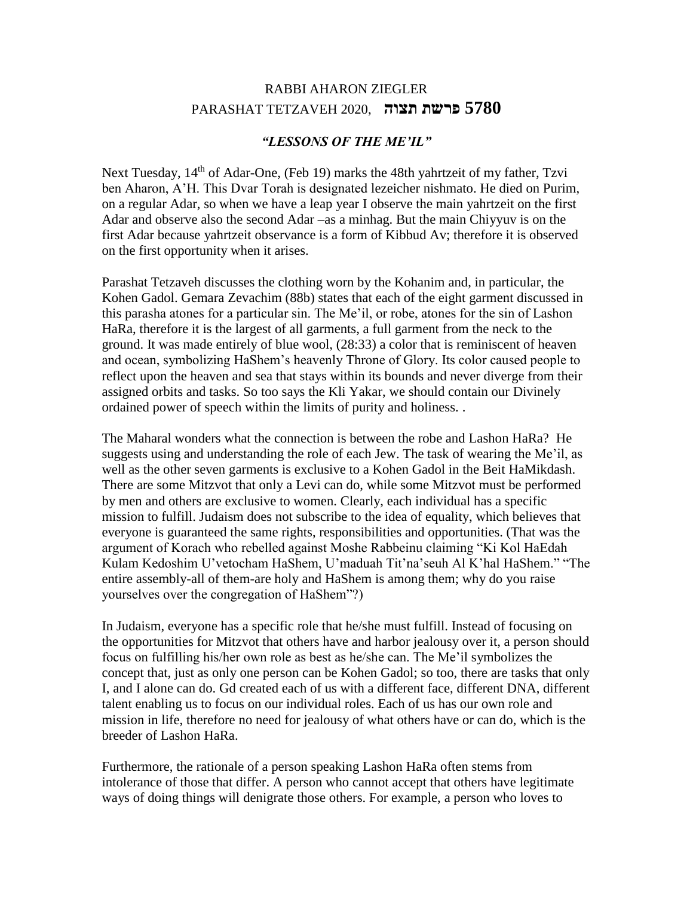## RABBI AHARON ZIEGLER **5780 פרשת תצוה** 2020, TETZAVEH PARASHAT

## *"LESSONS OF THE ME'IL"*

Next Tuesday, 14<sup>th</sup> of Adar-One, (Feb 19) marks the 48th yahrtzeit of my father, Tzvi ben Aharon, A'H. This Dvar Torah is designated lezeicher nishmato. He died on Purim, on a regular Adar, so when we have a leap year I observe the main yahrtzeit on the first Adar and observe also the second Adar –as a minhag. But the main Chiyyuv is on the first Adar because yahrtzeit observance is a form of Kibbud Av; therefore it is observed on the first opportunity when it arises.

Parashat Tetzaveh discusses the clothing worn by the Kohanim and, in particular, the Kohen Gadol. Gemara Zevachim (88b) states that each of the eight garment discussed in this parasha atones for a particular sin. The Me'il, or robe, atones for the sin of Lashon HaRa, therefore it is the largest of all garments, a full garment from the neck to the ground. It was made entirely of blue wool, (28:33) a color that is reminiscent of heaven and ocean, symbolizing HaShem's heavenly Throne of Glory. Its color caused people to reflect upon the heaven and sea that stays within its bounds and never diverge from their assigned orbits and tasks. So too says the Kli Yakar, we should contain our Divinely ordained power of speech within the limits of purity and holiness. .

The Maharal wonders what the connection is between the robe and Lashon HaRa? He suggests using and understanding the role of each Jew. The task of wearing the Me'il, as well as the other seven garments is exclusive to a Kohen Gadol in the Beit HaMikdash. There are some Mitzvot that only a Levi can do, while some Mitzvot must be performed by men and others are exclusive to women. Clearly, each individual has a specific mission to fulfill. Judaism does not subscribe to the idea of equality, which believes that everyone is guaranteed the same rights, responsibilities and opportunities. (That was the argument of Korach who rebelled against Moshe Rabbeinu claiming "Ki Kol HaEdah Kulam Kedoshim U'vetocham HaShem, U'maduah Tit'na'seuh Al K'hal HaShem." "The entire assembly-all of them-are holy and HaShem is among them; why do you raise yourselves over the congregation of HaShem"?)

In Judaism, everyone has a specific role that he/she must fulfill. Instead of focusing on the opportunities for Mitzvot that others have and harbor jealousy over it, a person should focus on fulfilling his/her own role as best as he/she can. The Me'il symbolizes the concept that, just as only one person can be Kohen Gadol; so too, there are tasks that only I, and I alone can do. Gd created each of us with a different face, different DNA, different talent enabling us to focus on our individual roles. Each of us has our own role and mission in life, therefore no need for jealousy of what others have or can do, which is the breeder of Lashon HaRa.

Furthermore, the rationale of a person speaking Lashon HaRa often stems from intolerance of those that differ. A person who cannot accept that others have legitimate ways of doing things will denigrate those others. For example, a person who loves to